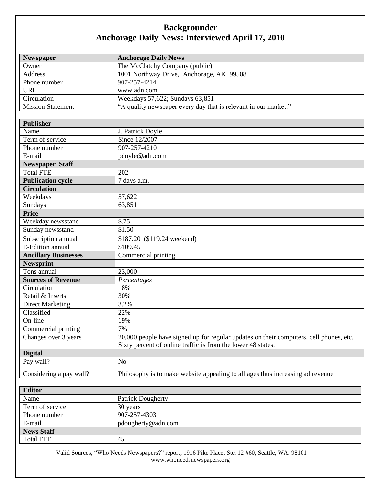## **Backgrounder Anchorage Daily News: Interviewed April 17, 2010**

| <b>Newspaper</b>            | <b>Anchorage Daily News</b>                                                            |
|-----------------------------|----------------------------------------------------------------------------------------|
| Owner                       | The McClatchy Company (public)                                                         |
| <b>Address</b>              | 1001 Northway Drive, Anchorage, AK 99508                                               |
| Phone number                | 907-257-4214                                                                           |
| <b>URL</b>                  | www.adn.com                                                                            |
| Circulation                 | Weekdays 57,622; Sundays 63,851                                                        |
| <b>Mission Statement</b>    | "A quality newspaper every day that is relevant in our market."                        |
|                             |                                                                                        |
| <b>Publisher</b>            |                                                                                        |
| Name                        | J. Patrick Doyle                                                                       |
| Term of service             | Since 12/2007                                                                          |
| Phone number                | 907-257-4210                                                                           |
| E-mail                      | pdoyle@adn.com                                                                         |
| <b>Newspaper Staff</b>      |                                                                                        |
| <b>Total FTE</b>            | 202                                                                                    |
| <b>Publication cycle</b>    | 7 days a.m.                                                                            |
| <b>Circulation</b>          |                                                                                        |
| Weekdays                    | 57,622                                                                                 |
| Sundays                     | 63,851                                                                                 |
| Price                       |                                                                                        |
| Weekday newsstand           | \$.75                                                                                  |
| Sunday newsstand            | \$1.50                                                                                 |
| Subscription annual         | \$187.20 (\$119.24 weekend)                                                            |
| E-Edition annual            | \$109.45                                                                               |
| <b>Ancillary Businesses</b> | Commercial printing                                                                    |
| <b>Newsprint</b>            |                                                                                        |
| Tons annual                 | 23,000                                                                                 |
| <b>Sources of Revenue</b>   | Percentages                                                                            |
| Circulation                 | 18%                                                                                    |
| Retail & Inserts            | 30%                                                                                    |
| <b>Direct Marketing</b>     | 3.2%                                                                                   |
| Classified                  | 22%                                                                                    |
| On-line                     | 19%                                                                                    |
| Commercial printing         | 7%                                                                                     |
| Changes over 3 years        | 20,000 people have signed up for regular updates on their computers, cell phones, etc. |
|                             | Sixty percent of online traffic is from the lower 48 states.                           |
| <b>Digital</b>              |                                                                                        |
| Pay wall?                   | N <sub>0</sub>                                                                         |
| Considering a pay wall?     | Philosophy is to make website appealing to all ages thus increasing ad revenue         |
|                             |                                                                                        |
| <b>Editor</b>               |                                                                                        |
| Name                        | <b>Patrick Dougherty</b>                                                               |
| Term of service             | 30 years                                                                               |
| Phone number                | 907-257-4303                                                                           |

Valid Sources, "Who Needs Newspapers?" report; 1916 Pike Place, Ste. 12 #60, Seattle, WA. 98101 www.whoneedsnewspapers.org

E-mail pdougherty@adn.com

Total FTE 45

**News Staff**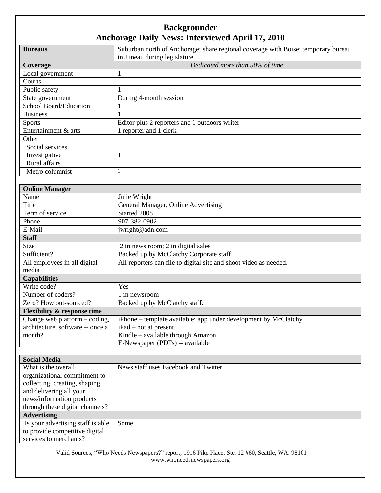## **Backgrounder Anchorage Daily News: Interviewed April 17, 2010**

| <b>Bureaus</b>         | Suburban north of Anchorage; share regional coverage with Boise; temporary bureau |
|------------------------|-----------------------------------------------------------------------------------|
|                        | in Juneau during legislature                                                      |
| Coverage               | Dedicated more than 50% of time.                                                  |
| Local government       |                                                                                   |
| Courts                 |                                                                                   |
| Public safety          |                                                                                   |
| State government       | During 4-month session                                                            |
| School Board/Education |                                                                                   |
| <b>Business</b>        |                                                                                   |
| <b>Sports</b>          | Editor plus 2 reporters and 1 outdoors writer                                     |
| Entertainment & arts   | 1 reporter and 1 clerk                                                            |
| Other                  |                                                                                   |
| Social services        |                                                                                   |
| Investigative          |                                                                                   |
| Rural affairs          |                                                                                   |
| Metro columnist        |                                                                                   |

| <b>Online Manager</b>                  |                                                                   |
|----------------------------------------|-------------------------------------------------------------------|
| Name                                   | Julie Wright                                                      |
| Title                                  | General Manager, Online Advertising                               |
| Term of service                        | Started 2008                                                      |
| Phone                                  | 907-382-0902                                                      |
| E-Mail                                 | jwright@adn.com                                                   |
| <b>Staff</b>                           |                                                                   |
| Size                                   | 2 in news room; 2 in digital sales                                |
| Sufficient?                            | Backed up by McClatchy Corporate staff                            |
| All employees in all digital           | All reporters can file to digital site and shoot video as needed. |
| media                                  |                                                                   |
| <b>Capabilities</b>                    |                                                                   |
| Write code?                            | Yes                                                               |
| Number of coders?                      | l in newsroom                                                     |
| Zero? How out-sourced?                 | Backed up by McClatchy staff.                                     |
| <b>Flexibility &amp; response time</b> |                                                                   |
| Change web platform – coding,          | iPhone – template available; app under development by McClatchy.  |
| architecture, software -- once a       | iPad – not at present.                                            |
| month?                                 | Kindle – available through Amazon                                 |
|                                        | E-Newspaper (PDFs) -- available                                   |

| <b>Social Media</b>               |                                       |
|-----------------------------------|---------------------------------------|
| What is the overall               | News staff uses Facebook and Twitter. |
| organizational commitment to      |                                       |
| collecting, creating, shaping     |                                       |
| and delivering all your           |                                       |
| news/information products         |                                       |
| through these digital channels?   |                                       |
| <b>Advertising</b>                |                                       |
| Is your advertising staff is able | Some                                  |
| to provide competitive digital    |                                       |
| services to merchants?            |                                       |

Valid Sources, "Who Needs Newspapers?" report; 1916 Pike Place, Ste. 12 #60, Seattle, WA. 98101 www.whoneedsnewspapers.org